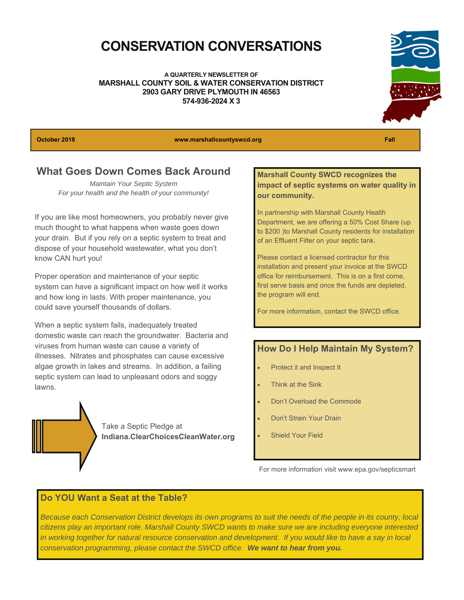### **CONSERVATION CONVERSATIONS**

**A QUARTERLY NEWSLETTER OF MARSHALL COUNTY SOIL & WATER CONSERVATION DISTRICT 2903 GARY DRIVE PLYMOUTH IN 46563 574-936-2024 X 3** 



**October 2018 www.marshallcountyswcd.org Fall** 

### **What Goes Down Comes Back Around**

*Maintain Your Septic System For your health and the health of your community!*

If you are like most homeowners, you probably never give much thought to what happens when waste goes down your drain. But if you rely on a septic system to treat and dispose of your household wastewater, what you don't know CAN hurt you!

Proper operation and maintenance of your septic system can have a significant impact on how well it works and how long in lasts. With proper maintenance, you could save yourself thousands of dollars.

When a septic system fails, inadequately treated domestic waste can reach the groundwater. Bacteria and viruses from human waste can cause a variety of illnesses. Nitrates and phosphates can cause excessive algae growth in lakes and streams. In addition, a failing septic system can lead to unpleasant odors and soggy lawns.

> Take a Septic Pledge at **Indiana.ClearChoicesCleanWater.org**

#### **Marshall County SWCD recognizes the impact of septic systems on water quality in our community.**

In partnership with Marshall County Health Department, we are offering a 50% Cost Share (up to \$200 )to Marshall County residents for installation of an Effluent Filter on your septic tank.

Please contact a licensed contractor for this installation and present your invoice at the SWCD office for reimbursement. This is on a first come, first serve basis and once the funds are depleted, the program will end.

For more information, contact the SWCD office.

#### **How Do I Help Maintain My System?**

- Protect it and Inspect It
- Think at the Sink
- Don't Overload the Commode
- Don't Strain Your Drain
- Shield Your Field

For more information visit www.epa.gov/septicsmart

#### **Do YOU Want a Seat at the Table?**

*Because each Conservation District develops its own programs to suit the needs of the people in its county, local citizens play an important role. Marshall County SWCD wants to make sure we are including everyone interested*  in working together for natural resource conservation and development. If you would like to have a say in local *conservation programming, please contact the SWCD office. We want to hear from you.*